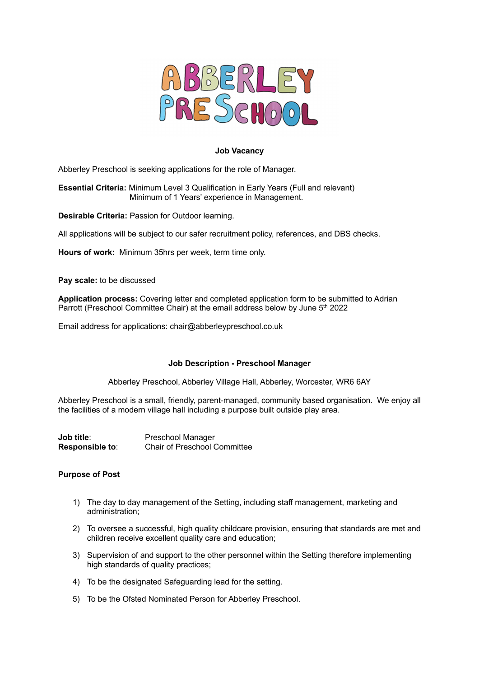

## **Job Vacancy**

Abberley Preschool is seeking applications for the role of Manager.

**Essential Criteria:** Minimum Level 3 Qualification in Early Years (Full and relevant) Minimum of 1 Years' experience in Management.

**Desirable Criteria:** Passion for Outdoor learning.

All applications will be subject to our safer recruitment policy, references, and DBS checks.

**Hours of work:** Minimum 35hrs per week, term time only.

**Pay scale:** to be discussed

**Application process:** Covering letter and completed application form to be submitted to Adrian Parrott (Preschool Committee Chair) at the email address below by June 5<sup>th</sup> 2022

Email address for applications: chair@abberleypreschool.co.uk

### **Job Description - Preschool Manager**

Abberley Preschool, Abberley Village Hall, Abberley, Worcester, WR6 6AY

Abberley Preschool is a small, friendly, parent-managed, community based organisation. We enjoy all the facilities of a modern village hall including a purpose built outside play area.

**Job title:** Preschool Manager **Responsible to**: Chair of Preschool Committee

# **Purpose of Post**

- 1) The day to day management of the Setting, including staff management, marketing and administration;
- 2) To oversee a successful, high quality childcare provision, ensuring that standards are met and children receive excellent quality care and education;
- 3) Supervision of and support to the other personnel within the Setting therefore implementing high standards of quality practices;
- 4) To be the designated Safeguarding lead for the setting.
- 5) To be the Ofsted Nominated Person for Abberley Preschool.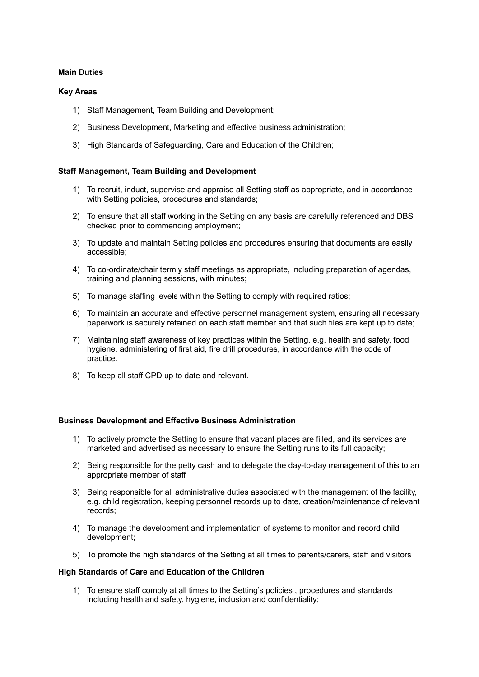### **Main Duties**

### **Key Areas**

- 1) Staff Management, Team Building and Development;
- 2) Business Development, Marketing and effective business administration;
- 3) High Standards of Safeguarding, Care and Education of the Children;

## **Staff Management, Team Building and Development**

- 1) To recruit, induct, supervise and appraise all Setting staff as appropriate, and in accordance with Setting policies, procedures and standards;
- 2) To ensure that all staff working in the Setting on any basis are carefully referenced and DBS checked prior to commencing employment;
- 3) To update and maintain Setting policies and procedures ensuring that documents are easily accessible;
- 4) To co-ordinate/chair termly staff meetings as appropriate, including preparation of agendas, training and planning sessions, with minutes;
- 5) To manage staffing levels within the Setting to comply with required ratios;
- 6) To maintain an accurate and effective personnel management system, ensuring all necessary paperwork is securely retained on each staff member and that such files are kept up to date;
- 7) Maintaining staff awareness of key practices within the Setting, e.g. health and safety, food hygiene, administering of first aid, fire drill procedures, in accordance with the code of practice.
- 8) To keep all staff CPD up to date and relevant.

### **Business Development and Effective Business Administration**

- 1) To actively promote the Setting to ensure that vacant places are filled, and its services are marketed and advertised as necessary to ensure the Setting runs to its full capacity;
- 2) Being responsible for the petty cash and to delegate the day-to-day management of this to an appropriate member of staff
- 3) Being responsible for all administrative duties associated with the management of the facility, e.g. child registration, keeping personnel records up to date, creation/maintenance of relevant records;
- 4) To manage the development and implementation of systems to monitor and record child development;
- 5) To promote the high standards of the Setting at all times to parents/carers, staff and visitors

### **High Standards of Care and Education of the Children**

1) To ensure staff comply at all times to the Setting's policies , procedures and standards including health and safety, hygiene, inclusion and confidentiality;